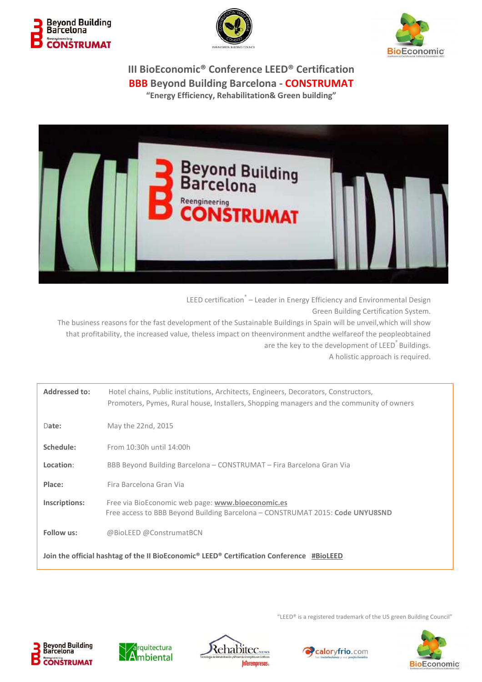







LEED certification<sup>®</sup> – Leader in Energy Efficiency and Environmental Design Green Building Certification System. The business reasons for the fast development of the Sustainable Buildings in Spain will be unveil,which will show that profitability, the increased value, theless impact on theenvironment andthe welfareof the peopleobtained are the key to the development of LEED<sup>®</sup> Buildings.

A holistic approach is required.

| <b>Addressed to:</b>                                                                                             | Hotel chains, Public institutions, Architects, Engineers, Decorators, Constructors,<br>Promoters, Pymes, Rural house, Installers, Shopping managers and the community of owners |  |
|------------------------------------------------------------------------------------------------------------------|---------------------------------------------------------------------------------------------------------------------------------------------------------------------------------|--|
| Date:                                                                                                            | May the 22nd, 2015                                                                                                                                                              |  |
| Schedule:                                                                                                        | From 10:30h until 14:00h                                                                                                                                                        |  |
| Location:                                                                                                        | BBB Beyond Building Barcelona - CONSTRUMAT - Fira Barcelona Gran Via                                                                                                            |  |
| Place:                                                                                                           | Fira Barcelona Gran Via                                                                                                                                                         |  |
| Inscriptions:                                                                                                    | Free via BioEconomic web page: www.bioeconomic.es<br>Free access to BBB Beyond Building Barcelona - CONSTRUMAT 2015: Code UNYU8SND                                              |  |
| Follow us:                                                                                                       | @BioLEED @ConstrumatBCN                                                                                                                                                         |  |
| Join the official hashtag of the II BioEconomic <sup>®</sup> LEED <sup>®</sup> Certification Conference #BioLEED |                                                                                                                                                                                 |  |

"LEED® is a registered trademark of the US green Building Council"









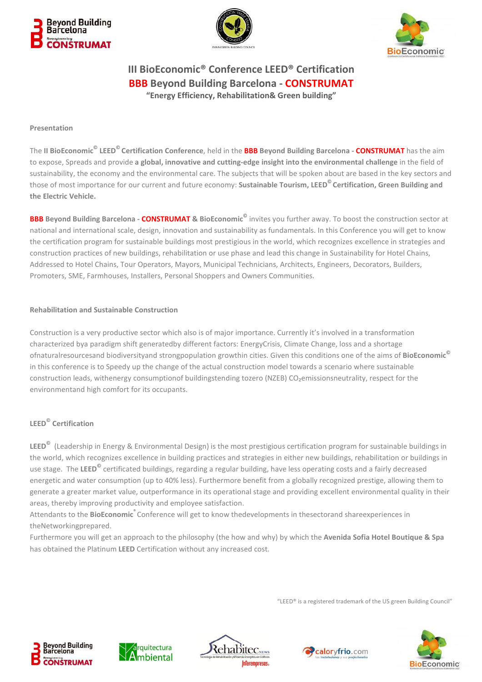





#### **Presentation**

The **II BioEconomic© LEED© Certification Conference**, held in the **BBB Beyond Building Barcelona - CONSTRUMAT** has the aim to expose, Spreads and provide a global, innovative and cutting-edge insight into the environmental challenge in the field of sustainability, the economy and the environmental care. The subjects that will be spoken about are based in the key sectors and those of most importance for our current and future economy: **Sustainable Tourism, LEED© Certification, Green Building and the Electric Vehicle.** 

**BBB Beyond Building Barcelona - CONSTRUMAT & BioEconomic©** invites you further away. To boost the construction sector at national and international scale, design, innovation and sustainability as fundamentals. In this Conference you will get to know the certification program for sustainable buildings most prestigious in the world, which recognizes excellence in strategies and construction practices of new buildings, rehabilitation or use phase and lead this change in Sustainability for Hotel Chains, Addressed to Hotel Chains, Tour Operators, Mayors, Municipal Technicians, Architects, Engineers, Decorators, Builders, Promoters, SME, Farmhouses, Installers, Personal Shoppers and Owners Communities.

#### **Rehabilitation and Sustainable Construction**

Construction is a very productive sector which also is of major importance. Currently it's involved in a transformation characterized bya paradigm shift generatedby different factors: EnergyCrisis, Climate Change, loss and a shortage ofnaturalresourcesand biodiversityand strongpopulation growthin cities. Given this conditions one of the aims of **BioEconomic©** in this conference is to Speedy up the change of the actual construction model towards a scenario where sustainable construction leads, withenergy consumptionof buildingstending tozero (NZEB) CO<sub>2</sub>emissionsneutrality, respect for the environmentand high comfort for its occupants.

## **LEED© Certification**

**LEED©** (Leadership in Energy & Environmental Design) is the most prestigious certification program for sustainable buildings in the world, which recognizes excellence in building practices and strategies in either new buildings, rehabilitation or buildings in use stage. The **LEED©** certificated buildings, regarding a regular building, have less operating costs and a fairly decreased energetic and water consumption (up to 40% less). Furthermore benefit from a globally recognized prestige, allowing them to generate a greater market value, outperformance in its operational stage and providing excellent environmental quality in their areas, thereby improving productivity and employee satisfaction.

Attendants to the **BioEconomic®** Conference will get to know thedevelopments in thesectorand shareexperiences in theNetworkingprepared.

Furthermore you will get an approach to the philosophy (the how and why) by which the **Avenida Sofia Hotel Boutique & Spa**  has obtained the Platinum **LEED** Certification without any increased cost.

"LEED® is a registered trademark of the US green Building Council"

caloryfrio.com







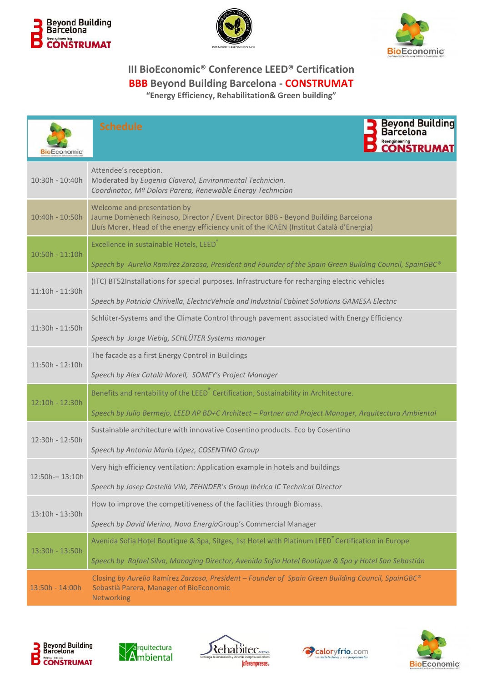





| <b>BioEconomic</b> | <b>Beyond Building</b><br><b>Schedule</b><br>Reengineering<br>CONSTRUMAT                                                                                                                                             |
|--------------------|----------------------------------------------------------------------------------------------------------------------------------------------------------------------------------------------------------------------|
| 10:30h - 10:40h    | Attendee's reception.<br>Moderated by Eugenia Claverol, Environmental Technician.<br>Coordinator, Mª Dolors Parera, Renewable Energy Technician                                                                      |
| 10:40h - 10:50h    | Welcome and presentation by<br>Jaume Domènech Reinoso, Director / Event Director BBB - Beyond Building Barcelona<br>Lluís Morer, Head of the energy efficiency unit of the ICAEN (Institut Català d'Energia)         |
| 10:50h - 11:10h    | Excellence in sustainable Hotels, LEED<br>Speech by Aurelio Ramírez Zarzosa, President and Founder of the Spain Green Building Council, SpainGBC®                                                                    |
| $11:10h - 11:30h$  | (ITC) BT52Installations for special purposes. Infrastructure for recharging electric vehicles<br>Speech by Patricia Chirivella, ElectricVehicle and Industrial Cabinet Solutions GAMESA Electric                     |
| 11:30h - 11:50h    | Schlüter-Systems and the Climate Control through pavement associated with Energy Efficiency<br>Speech by Jorge Viebig, SCHLÜTER Systems manager                                                                      |
| 11:50h - 12:10h    | The facade as a first Energy Control in Buildings<br>Speech by Alex Català Morell, SOMFY's Project Manager                                                                                                           |
| 12:10h - 12:30h    | Benefits and rentability of the LEED <sup>®</sup> Certification, Sustainability in Architecture.<br>Speech by Julio Bermejo, LEED AP BD+C Architect - Partner and Project Manager, Arquitectura Ambiental            |
| 12:30h - 12:50h    | Sustainable architecture with innovative Cosentino products. Eco by Cosentino<br>Speech by Antonia Maria López, COSENTINO Group                                                                                      |
| $12:50h - 13:10h$  | Very high efficiency ventilation: Application example in hotels and buildings<br>Speech by Josep Castellà Vilà, ZEHNDER's Group Ibérica IC Technical Director                                                        |
| 13:10h - 13:30h    | How to improve the competitiveness of the facilities through Biomass.<br>Speech by David Merino, Nova EnergíaGroup's Commercial Manager                                                                              |
| 13:30h - 13:50h    | Avenida Sofia Hotel Boutique & Spa, Sitges, 1st Hotel with Platinum LEED <sup>®</sup> Certification in Europe<br>Speech by Rafael Silva, Managing Director, Avenida Sofia Hotel Boutique & Spa y Hotel San Sebastián |
| 13:50h - 14:00h    | Closing by Aurelio Ramírez Zarzosa, President - Founder of Spain Green Building Council, SpainGBC®<br>Sebastià Parera, Manager of BioEconomic<br>Networking                                                          |









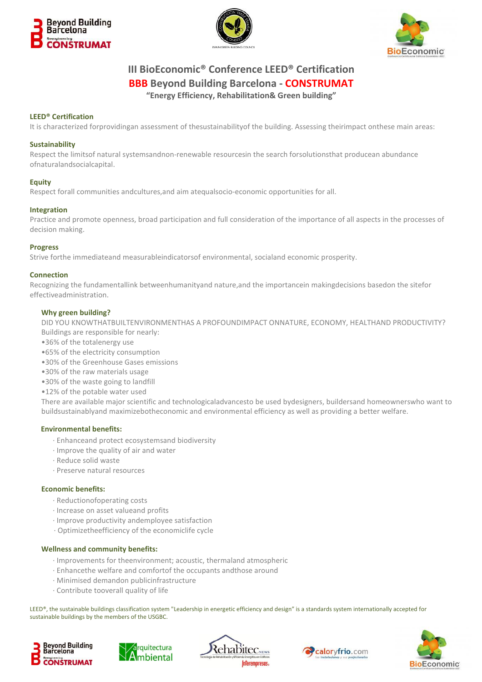





### **LEED® Certification**

It is characterized forprovidingan assessment of thesustainabilityof the building. Assessing theirimpact onthese main areas:

#### **Sustainability**

Respect the limitsof natural systemsandnon-renewable resourcesin the search forsolutionsthat producean abundance ofnaturalandsocialcapital.

#### **Equity**

Respect forall communities andcultures,and aim atequalsocio-economic opportunities for all.

#### **Integration**

Practice and promote openness, broad participation and full consideration of the importance of all aspects in the processes of decision making.

#### **Progress**

Strive forthe immediateand measurableindicatorsof environmental, socialand economic prosperity.

#### **Connection**

Recognizing the fundamentallink betweenhumanityand nature,and the importancein makingdecisions basedon the sitefor effectiveadministration.

#### **Why green building?**

DID YOU KNOWTHATBUILTENVIRONMENTHAS A PROFOUNDIMPACT ONNATURE, ECONOMY, HEALTHAND PRODUCTIVITY? Buildings are responsible for nearly:

- •36% of the totalenergy use
- •65% of the electricity consumption
- •30% of the Greenhouse Gases emissions
- •30% of the raw materials usage
- •30% of the waste going to landfill
- •12% of the potable water used

There are available major scientific and technologicaladvancesto be used bydesigners, buildersand homeownerswho want to buildsustainablyand maximizebotheconomic and environmental efficiency as well as providing a better welfare.

#### **Environmental benefits:**

- · Enhanceand protect ecosystemsand biodiversity
- · Improve the quality of air and water
- · Reduce solid waste
- · Preserve natural resources

#### **Economic benefits:**

- · Reductionofoperating costs
- · Increase on asset valueand profits
- · Improve productivity andemployee satisfaction
- · Optimizetheefficiency of the economiclife cycle

#### **Wellness and community benefits:**

- · Improvements for theenvironment; acoustic, thermaland atmospheric
- · Enhancethe welfare and comfortof the occupants andthose around
- · Minimised demandon publicinfrastructure
- · Contribute tooverall quality of life

LEED®, the sustainable buildings classification system "Leadership in energetic efficiency and design" is a standards system internationally accepted for sustainable buildings by the members of the USGBC.









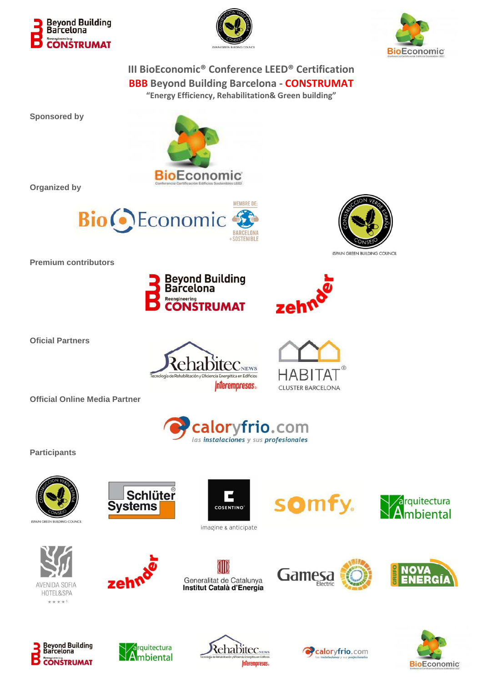





**Sponsored by** 



**Organized by** 



Reengineering



**Official Online Media Partner** 

**Oficial Partners** 

**Premium contributors** 



**Beyond Building**<br>Barcelona

**ONSTRUMAT** 

HABITAI **CLUSTER BARCELONA** 

zeh¢



**Participants**